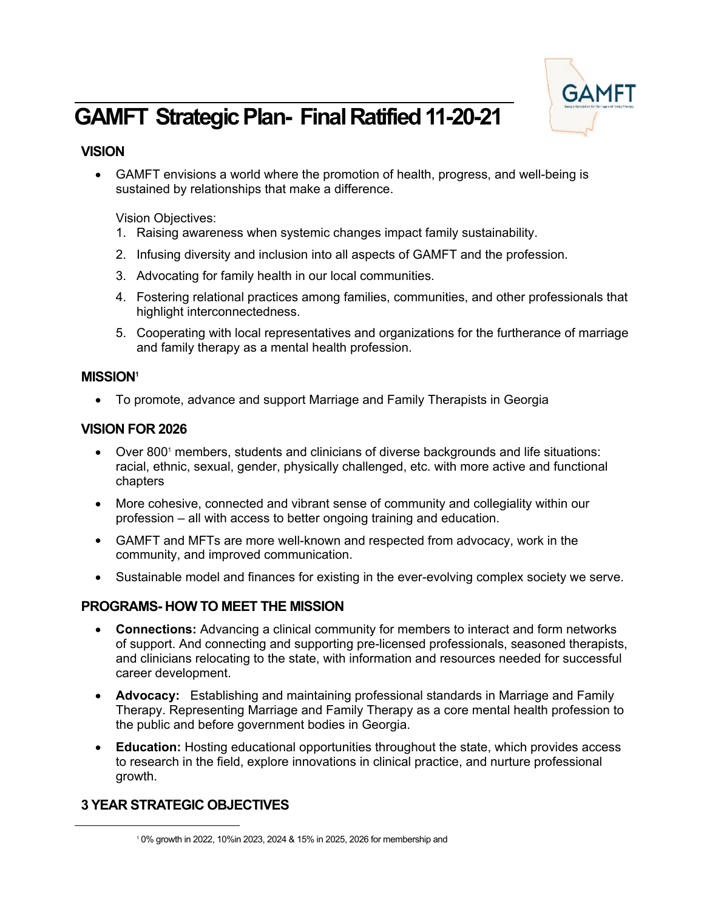

# **GAMFT Strategic Plan- Final Ratified 11-20-21**

# **VISION**

 GAMFT envisions a world where the promotion of health, progress, and well-being is sustained by relationships that make a difference.

Vision Objectives:

- 1. Raising awareness when systemic changes impact family sustainability.
- 2. Infusing diversity and inclusion into all aspects of GAMFT and the profession.
- 3. Advocating for family health in our local communities.
- 4. Fostering relational practices among families, communities, and other professionals that highlight interconnectedness.
- 5. Cooperating with local representatives and organizations for the furtherance of marriage and family therapy as a mental health profession.

### **MISSION<sup>1</sup>**

To promote, advance and support Marriage and Family Therapists in Georgia

## **VISION FOR 2026**

- Over 800<sup>1</sup> members, students and clinicians of diverse backgrounds and life situations: racial, ethnic, sexual, gender, physically challenged, etc. with more active and functional chapters
- More cohesive, connected and vibrant sense of community and collegiality within our profession – all with access to better ongoing training and education.
- GAMFT and MFTs are more well-known and respected from advocacy, work in the community, and improved communication.
- Sustainable model and finances for existing in the ever-evolving complex society we serve.

# **PROGRAMS- HOW TO MEET THE MISSION**

- **Connections:** Advancing a clinical community for members to interact and form networks of support. And connecting and supporting pre-licensed professionals, seasoned therapists, and clinicians relocating to the state, with information and resources needed for successful career development.
- **Advocacy:** Establishing and maintaining professional standards in Marriage and Family Therapy. Representing Marriage and Family Therapy as a core mental health profession to the public and before government bodies in Georgia.
- **Education:** Hosting educational opportunities throughout the state, which provides access to research in the field, explore innovations in clinical practice, and nurture professional growth.

# **3 YEAR STRATEGIC OBJECTIVES**

<sup>1</sup> 0% growth in 2022, 10%in 2023, 2024 & 15% in 2025, 2026 for membership and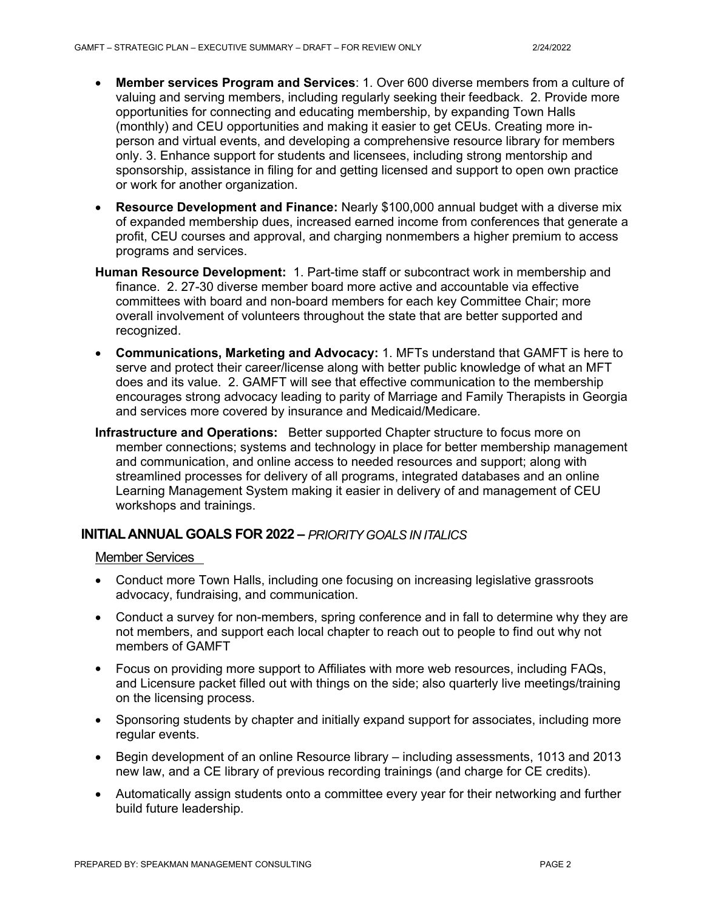- **Member services Program and Services**: 1. Over 600 diverse members from a culture of valuing and serving members, including regularly seeking their feedback. 2. Provide more opportunities for connecting and educating membership, by expanding Town Halls (monthly) and CEU opportunities and making it easier to get CEUs. Creating more inperson and virtual events, and developing a comprehensive resource library for members only. 3. Enhance support for students and licensees, including strong mentorship and sponsorship, assistance in filing for and getting licensed and support to open own practice or work for another organization.
- **Resource Development and Finance:** Nearly \$100,000 annual budget with a diverse mix of expanded membership dues, increased earned income from conferences that generate a profit, CEU courses and approval, and charging nonmembers a higher premium to access programs and services.
- **Human Resource Development:** 1. Part-time staff or subcontract work in membership and finance. 2. 27-30 diverse member board more active and accountable via effective committees with board and non-board members for each key Committee Chair; more overall involvement of volunteers throughout the state that are better supported and recognized.
- **Communications, Marketing and Advocacy:** 1. MFTs understand that GAMFT is here to serve and protect their career/license along with better public knowledge of what an MFT does and its value. 2. GAMFT will see that effective communication to the membership encourages strong advocacy leading to parity of Marriage and Family Therapists in Georgia and services more covered by insurance and Medicaid/Medicare.
- **Infrastructure and Operations:** Better supported Chapter structure to focus more on member connections; systems and technology in place for better membership management and communication, and online access to needed resources and support; along with streamlined processes for delivery of all programs, integrated databases and an online Learning Management System making it easier in delivery of and management of CEU workshops and trainings.

#### **INITIALANNUAL GOALS FOR 2022 –** *PRIORITY GOALS IN ITALICS*

#### Member Services

- Conduct more Town Halls, including one focusing on increasing legislative grassroots advocacy, fundraising, and communication.
- Conduct a survey for non-members, spring conference and in fall to determine why they are not members, and support each local chapter to reach out to people to find out why not members of GAMFT
- Focus on providing more support to Affiliates with more web resources, including FAQs, and Licensure packet filled out with things on the side; also quarterly live meetings/training on the licensing process.
- Sponsoring students by chapter and initially expand support for associates, including more regular events.
- Begin development of an online Resource library including assessments, 1013 and 2013 new law, and a CE library of previous recording trainings (and charge for CE credits).
- Automatically assign students onto a committee every year for their networking and further build future leadership.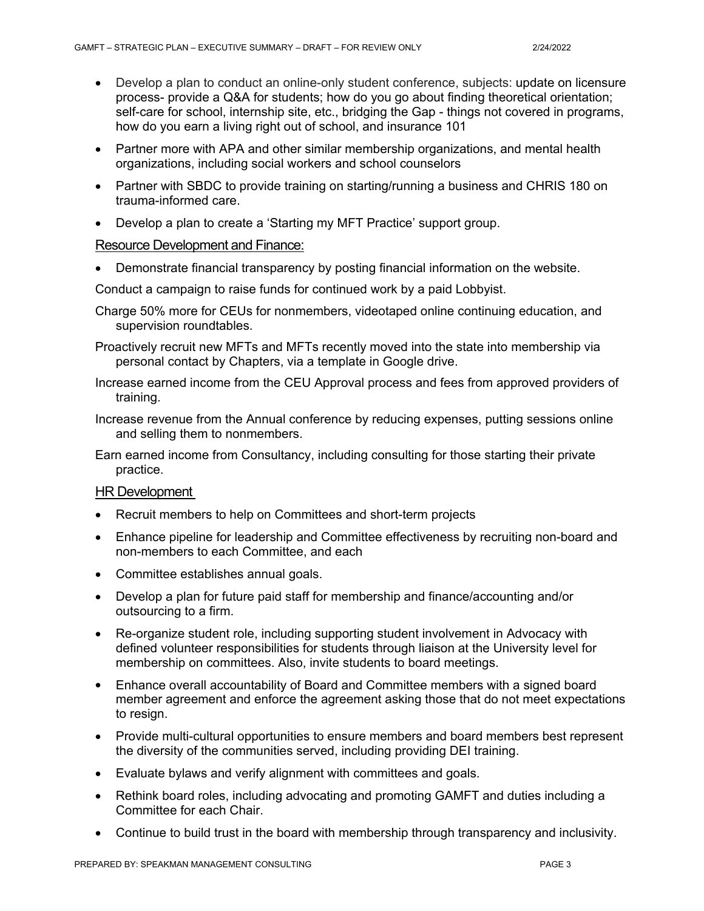- Develop a plan to conduct an online-only student conference, subjects: update on licensure process- provide a Q&A for students; how do you go about finding theoretical orientation; self-care for school, internship site, etc., bridging the Gap - things not covered in programs, how do you earn a living right out of school, and insurance 101
- Partner more with APA and other similar membership organizations, and mental health organizations, including social workers and school counselors
- Partner with SBDC to provide training on starting/running a business and CHRIS 180 on trauma-informed care.
- Develop a plan to create a 'Starting my MFT Practice' support group.

#### Resource Development and Finance:

Demonstrate financial transparency by posting financial information on the website.

Conduct a campaign to raise funds for continued work by a paid Lobbyist.

- Charge 50% more for CEUs for nonmembers, videotaped online continuing education, and supervision roundtables.
- Proactively recruit new MFTs and MFTs recently moved into the state into membership via personal contact by Chapters, via a template in Google drive.
- Increase earned income from the CEU Approval process and fees from approved providers of training.
- Increase revenue from the Annual conference by reducing expenses, putting sessions online and selling them to nonmembers.
- Earn earned income from Consultancy, including consulting for those starting their private practice.

#### HR Development

- Recruit members to help on Committees and short-term projects
- Enhance pipeline for leadership and Committee effectiveness by recruiting non-board and non-members to each Committee, and each
- Committee establishes annual goals.
- Develop a plan for future paid staff for membership and finance/accounting and/or outsourcing to a firm.
- Re-organize student role, including supporting student involvement in Advocacy with defined volunteer responsibilities for students through liaison at the University level for membership on committees. Also, invite students to board meetings.
- Enhance overall accountability of Board and Committee members with a signed board member agreement and enforce the agreement asking those that do not meet expectations to resign.
- Provide multi-cultural opportunities to ensure members and board members best represent the diversity of the communities served, including providing DEI training.
- Evaluate bylaws and verify alignment with committees and goals.
- Rethink board roles, including advocating and promoting GAMFT and duties including a Committee for each Chair.
- Continue to build trust in the board with membership through transparency and inclusivity.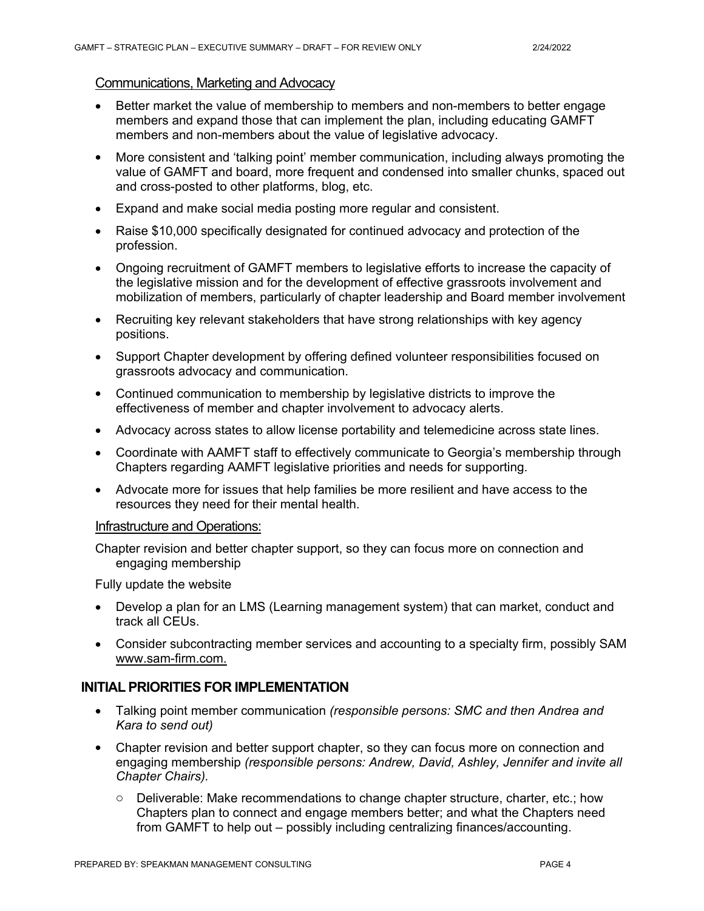#### Communications, Marketing and Advocacy

- Better market the value of membership to members and non-members to better engage members and expand those that can implement the plan, including educating GAMFT members and non-members about the value of legislative advocacy.
- More consistent and 'talking point' member communication, including always promoting the value of GAMFT and board, more frequent and condensed into smaller chunks, spaced out and cross-posted to other platforms, blog, etc.
- Expand and make social media posting more regular and consistent.
- Raise \$10,000 specifically designated for continued advocacy and protection of the profession.
- Ongoing recruitment of GAMFT members to legislative efforts to increase the capacity of the legislative mission and for the development of effective grassroots involvement and mobilization of members, particularly of chapter leadership and Board member involvement
- Recruiting key relevant stakeholders that have strong relationships with key agency positions.
- Support Chapter development by offering defined volunteer responsibilities focused on grassroots advocacy and communication.
- Continued communication to membership by legislative districts to improve the effectiveness of member and chapter involvement to advocacy alerts.
- Advocacy across states to allow license portability and telemedicine across state lines.
- Coordinate with AAMFT staff to effectively communicate to Georgia's membership through Chapters regarding AAMFT legislative priorities and needs for supporting.
- Advocate more for issues that help families be more resilient and have access to the resources they need for their mental health.

#### Infrastructure and Operations:

Chapter revision and better chapter support, so they can focus more on connection and engaging membership

Fully update the website

- Develop a plan for an LMS (Learning management system) that can market, conduct and track all CEUs.
- Consider subcontracting member services and accounting to a specialty firm, possibly SAM [www.sam-firm.com.](http://www.sam-firm.com)

#### **INITIAL PRIORITIES FOR IMPLEMENTATION**

- Talking point member communication *(responsible persons: SMC and then Andrea and Kara to send out)*
- Chapter revision and better support chapter, so they can focus more on connection and engaging membership *(responsible persons: Andrew, David, Ashley, Jennifer and invite all Chapter Chairs).*
	- $\circ$  Deliverable: Make recommendations to change chapter structure, charter, etc.; how Chapters plan to connect and engage members better; and what the Chapters need from GAMFT to help out – possibly including centralizing finances/accounting.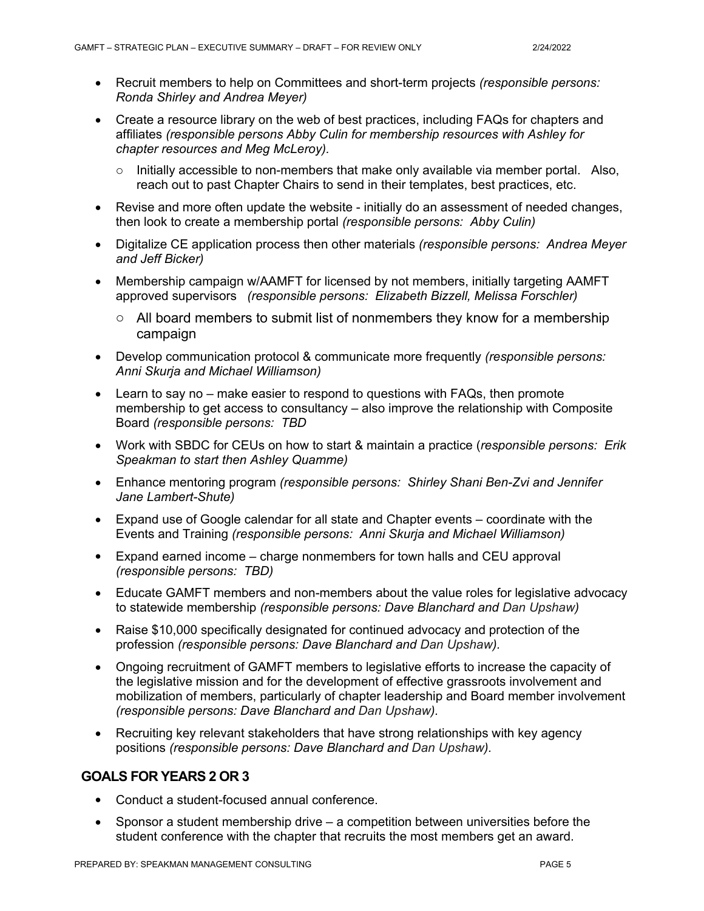- Recruit members to help on Committees and short-term projects *(responsible persons: Ronda Shirley and Andrea Meyer)*
- Create a resource library on the web of best practices, including FAQs for chapters and affiliates *(responsible persons Abby Culin for membership resources with Ashley for chapter resources and Meg McLeroy).*
	- Initially accessible to non-members that make only available via member portal. Also, reach out to past Chapter Chairs to send in their templates, best practices, etc.
- Revise and more often update the website initially do an assessment of needed changes, then look to create a membership portal *(responsible persons: Abby Culin)*
- Digitalize CE application process then other materials *(responsible persons: Andrea Meyer and Jeff Bicker)*
- Membership campaign w/AAMFT for licensed by not members, initially targeting AAMFT approved supervisors *(responsible persons: Elizabeth Bizzell, Melissa Forschler)*
	- o All board members to submit list of nonmembers they know for a membership campaign
- Develop communication protocol & communicate more frequently *(responsible persons: Anni Skurja and Michael Williamson)*
- Learn to say no make easier to respond to questions with FAQs, then promote membership to get access to consultancy – also improve the relationship with Composite Board *(responsible persons: TBD*
- Work with SBDC for CEUs on how to start & maintain a practice (*responsible persons: Erik Speakman to start then Ashley Quamme)*
- Enhance mentoring program *(responsible persons: Shirley Shani Ben-Zvi and Jennifer Jane Lambert-Shute)*
- Expand use of Google calendar for all state and Chapter events coordinate with the Events and Training *(responsible persons: Anni Skurja and Michael Williamson)*
- Expand earned income charge nonmembers for town halls and CEU approval *(responsible persons: TBD)*
- Educate GAMFT members and non-members about the value roles for legislative advocacy to statewide membership *(responsible persons: Dave Blanchard and Dan Upshaw)*
- Raise \$10,000 specifically designated for continued advocacy and protection of the profession *(responsible persons: Dave Blanchard and Dan Upshaw).*
- Ongoing recruitment of GAMFT members to legislative efforts to increase the capacity of the legislative mission and for the development of effective grassroots involvement and mobilization of members, particularly of chapter leadership and Board member involvement *(responsible persons: Dave Blanchard and Dan Upshaw).*
- Recruiting key relevant stakeholders that have strong relationships with key agency positions *(responsible persons: Dave Blanchard and Dan Upshaw).*

## **GOALS FOR YEARS 2 OR 3**

- Conduct a student-focused annual conference.
- Sponsor a student membership drive a competition between universities before the student conference with the chapter that recruits the most members get an award.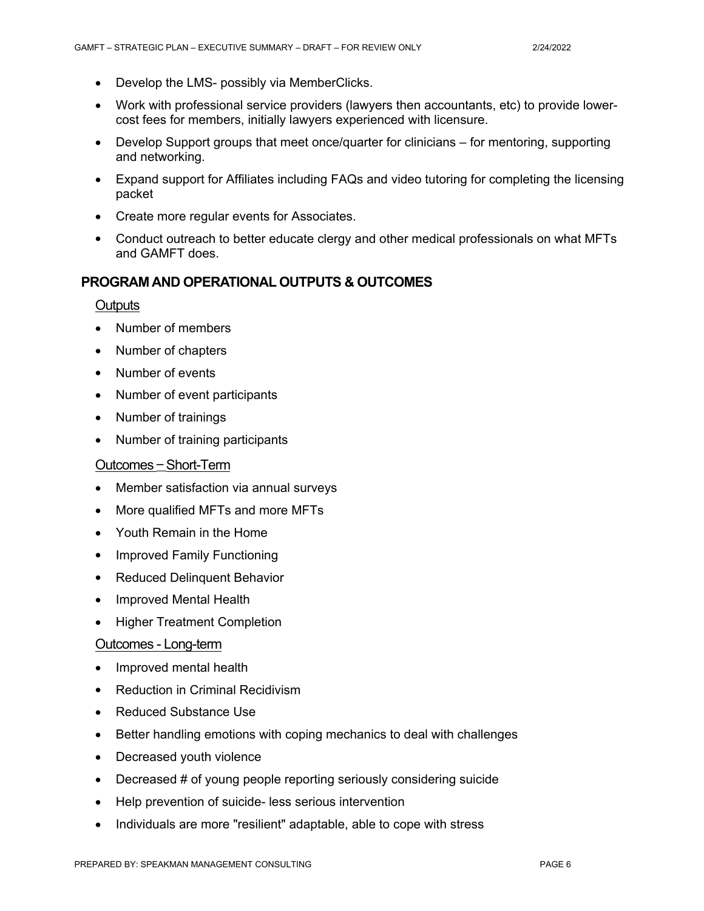- Develop the LMS- possibly via MemberClicks.
- Work with professional service providers (lawyers then accountants, etc) to provide lowercost fees for members, initially lawyers experienced with licensure.
- Develop Support groups that meet once/quarter for clinicians for mentoring, supporting and networking.
- Expand support for Affiliates including FAQs and video tutoring for completing the licensing packet
- Create more regular events for Associates.
- Conduct outreach to better educate clergy and other medical professionals on what MFTs and GAMFT does.

#### **PROGRAM AND OPERATIONAL OUTPUTS & OUTCOMES**

#### **Outputs**

- Number of members
- Number of chapters
- Number of events
- Number of event participants
- Number of trainings
- Number of training participants

#### Outcomes – Short-Term

- Member satisfaction via annual surveys
- More qualified MFTs and more MFTs
- Youth Remain in the Home
- Improved Family Functioning
- Reduced Delinguent Behavior
- Improved Mental Health
- Higher Treatment Completion

#### Outcomes - Long-term

- Improved mental health
- Reduction in Criminal Recidivism
- Reduced Substance Use
- Better handling emotions with coping mechanics to deal with challenges
- Decreased youth violence
- Decreased # of young people reporting seriously considering suicide
- Help prevention of suicide- less serious intervention
- Individuals are more "resilient" adaptable, able to cope with stress